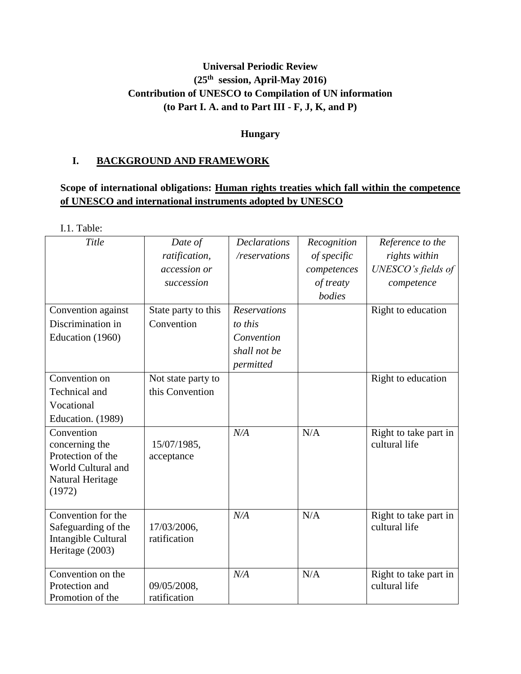# **Universal Periodic Review (25th session, April-May 2016) Contribution of UNESCO to Compilation of UN information (to Part I. A. and to Part III - F, J, K, and P)**

## **Hungary**

# **I. BACKGROUND AND FRAMEWORK**

# **Scope of international obligations: Human rights treaties which fall within the competence of UNESCO and international instruments adopted by UNESCO**

I.1. Table:

| Title                                                                                                 | Date of<br>ratification,<br>accession or<br>succession | <b>Declarations</b><br>/reservations                                      | Recognition<br>of specific<br>competences<br>of treaty<br>bodies | Reference to the<br>rights within<br>UNESCO's fields of<br>competence |
|-------------------------------------------------------------------------------------------------------|--------------------------------------------------------|---------------------------------------------------------------------------|------------------------------------------------------------------|-----------------------------------------------------------------------|
| Convention against<br>Discrimination in<br>Education (1960)                                           | State party to this<br>Convention                      | <b>Reservations</b><br>to this<br>Convention<br>shall not be<br>permitted |                                                                  | Right to education                                                    |
| Convention on<br>Technical and<br>Vocational<br>Education. (1989)                                     | Not state party to<br>this Convention                  |                                                                           |                                                                  | Right to education                                                    |
| Convention<br>concerning the<br>Protection of the<br>World Cultural and<br>Natural Heritage<br>(1972) | 15/07/1985,<br>acceptance                              | N/A                                                                       | N/A                                                              | Right to take part in<br>cultural life                                |
| Convention for the<br>Safeguarding of the<br>Intangible Cultural<br>Heritage (2003)                   | 17/03/2006,<br>ratification                            | N/A                                                                       | N/A                                                              | Right to take part in<br>cultural life                                |
| Convention on the<br>Protection and<br>Promotion of the                                               | 09/05/2008,<br>ratification                            | N/A                                                                       | N/A                                                              | Right to take part in<br>cultural life                                |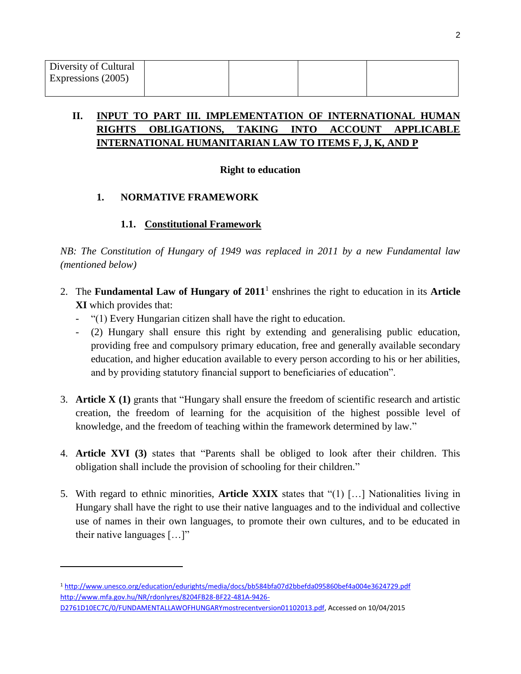l

# **II. INPUT TO PART III. IMPLEMENTATION OF INTERNATIONAL HUMAN RIGHTS OBLIGATIONS, TAKING INTO ACCOUNT APPLICABLE INTERNATIONAL HUMANITARIAN LAW TO ITEMS F, J, K, AND P**

### **Right to education**

## **1. NORMATIVE FRAMEWORK**

## **1.1. Constitutional Framework**

*NB: The Constitution of Hungary of 1949 was replaced in 2011 by a new Fundamental law (mentioned below)*

- 2. The **Fundamental Law of Hungary of 2011**<sup>1</sup> enshrines the right to education in its **Article XI** which provides that:
	- "(1) Every Hungarian citizen shall have the right to education.
	- (2) Hungary shall ensure this right by extending and generalising public education, providing free and compulsory primary education, free and generally available secondary education, and higher education available to every person according to his or her abilities, and by providing statutory financial support to beneficiaries of education".
- 3. **Article X (1)** grants that "Hungary shall ensure the freedom of scientific research and artistic creation, the freedom of learning for the acquisition of the highest possible level of knowledge, and the freedom of teaching within the framework determined by law."
- 4. **Article XVI (3)** states that "Parents shall be obliged to look after their children. This obligation shall include the provision of schooling for their children."
- 5. With regard to ethnic minorities, **Article XXIX** states that "(1) […] Nationalities living in Hungary shall have the right to use their native languages and to the individual and collective use of names in their own languages, to promote their own cultures, and to be educated in their native languages […]"

<sup>1</sup> <http://www.unesco.org/education/edurights/media/docs/bb584bfa07d2bbefda095860bef4a004e3624729.pdf> [http://www.mfa.gov.hu/NR/rdonlyres/8204FB28-BF22-481A-9426-](http://www.mfa.gov.hu/NR/rdonlyres/8204FB28-BF22-481A-9426-D2761D10EC7C/0/FUNDAMENTALLAWOFHUNGARYmostrecentversion01102013.pdf)

[D2761D10EC7C/0/FUNDAMENTALLAWOFHUNGARYmostrecentversion01102013.pdf,](http://www.mfa.gov.hu/NR/rdonlyres/8204FB28-BF22-481A-9426-D2761D10EC7C/0/FUNDAMENTALLAWOFHUNGARYmostrecentversion01102013.pdf) Accessed on 10/04/2015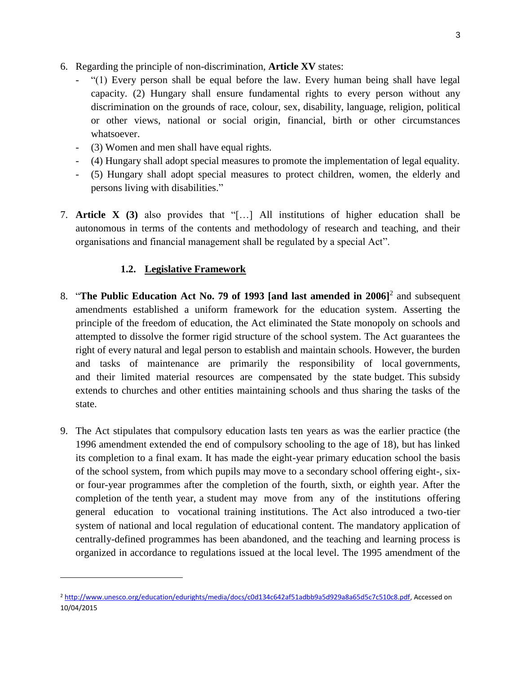- 6. Regarding the principle of non-discrimination, **Article XV** states:
	- "(1) Every person shall be equal before the law. Every human being shall have legal capacity. (2) Hungary shall ensure fundamental rights to every person without any discrimination on the grounds of race, colour, sex, disability, language, religion, political or other views, national or social origin, financial, birth or other circumstances whatsoever.
	- (3) Women and men shall have equal rights.
	- (4) Hungary shall adopt special measures to promote the implementation of legal equality.
	- (5) Hungary shall adopt special measures to protect children, women, the elderly and persons living with disabilities."
- 7. **Article X (3)** also provides that "[…] All institutions of higher education shall be autonomous in terms of the contents and methodology of research and teaching, and their organisations and financial management shall be regulated by a special Act".

#### **1.2. Legislative Framework**

- 8. "**The Public Education Act No. 79 of 1993 [and last amended in 2006]**<sup>2</sup> and subsequent amendments established a uniform framework for the education system. Asserting the principle of the freedom of education, the Act eliminated the State monopoly on schools and attempted to dissolve the former rigid structure of the school system. The Act guarantees the right of every natural and legal person to establish and maintain schools. However, the burden and tasks of maintenance are primarily the responsibility of local governments, and their limited material resources are compensated by the state budget. This subsidy extends to churches and other entities maintaining schools and thus sharing the tasks of the state.
- 9. The Act stipulates that compulsory education lasts ten years as was the earlier practice (the 1996 amendment extended the end of compulsory schooling to the age of 18), but has linked its completion to a final exam. It has made the eight-year primary education school the basis of the school system, from which pupils may move to a secondary school offering eight-, sixor four-year programmes after the completion of the fourth, sixth, or eighth year. After the completion of the tenth year, a student may move from any of the institutions offering general education to vocational training institutions. The Act also introduced a two-tier system of national and local regulation of educational content. The mandatory application of centrally-defined programmes has been abandoned, and the teaching and learning process is organized in accordance to regulations issued at the local level. The 1995 amendment of the

<sup>2</sup> [http://www.unesco.org/education/edurights/media/docs/c0d134c642af51adbb9a5d929a8a65d5c7c510c8.pdf,](http://www.unesco.org/education/edurights/media/docs/c0d134c642af51adbb9a5d929a8a65d5c7c510c8.pdf) Accessed on 10/04/2015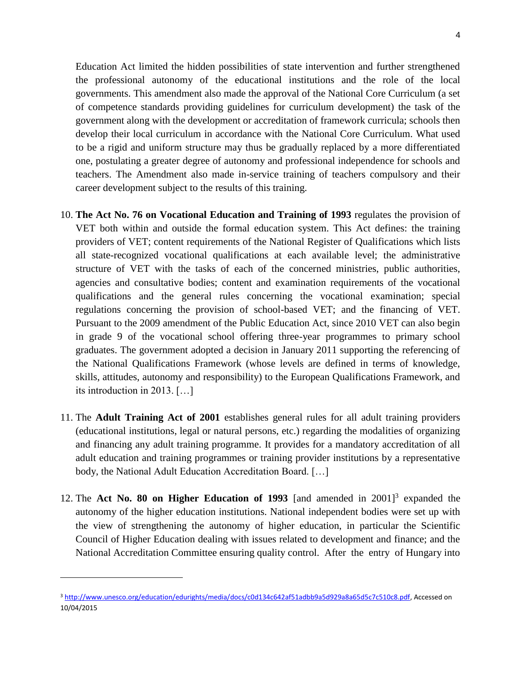Education Act limited the hidden possibilities of state intervention and further strengthened the professional autonomy of the educational institutions and the role of the local governments. This amendment also made the approval of the National Core Curriculum (a set of competence standards providing guidelines for curriculum development) the task of the government along with the development or accreditation of framework curricula; schools then develop their local curriculum in accordance with the National Core Curriculum. What used to be a rigid and uniform structure may thus be gradually replaced by a more differentiated one, postulating a greater degree of autonomy and professional independence for schools and teachers. The Amendment also made in-service training of teachers compulsory and their career development subject to the results of this training.

- 10. **The Act No. 76 on Vocational Education and Training of 1993** regulates the provision of VET both within and outside the formal education system. This Act defines: the training providers of VET; content requirements of the National Register of Qualifications which lists all state-recognized vocational qualifications at each available level; the administrative structure of VET with the tasks of each of the concerned ministries, public authorities, agencies and consultative bodies; content and examination requirements of the vocational qualifications and the general rules concerning the vocational examination; special regulations concerning the provision of school-based VET; and the financing of VET. Pursuant to the 2009 amendment of the Public Education Act, since 2010 VET can also begin in grade 9 of the vocational school offering three-year programmes to primary school graduates. The government adopted a decision in January 2011 supporting the referencing of the National Qualifications Framework (whose levels are defined in terms of knowledge, skills, attitudes, autonomy and responsibility) to the European Qualifications Framework, and its introduction in 2013. […]
- 11. The **Adult Training Act of 2001** establishes general rules for all adult training providers (educational institutions, legal or natural persons, etc.) regarding the modalities of organizing and financing any adult training programme. It provides for a mandatory accreditation of all adult education and training programmes or training provider institutions by a representative body, the National Adult Education Accreditation Board. […]
- 12. The **Act No. 80 on Higher Education of 1993** [and amended in 2001]<sup>3</sup> expanded the autonomy of the higher education institutions. National independent bodies were set up with the view of strengthening the autonomy of higher education, in particular the Scientific Council of Higher Education dealing with issues related to development and finance; and the National Accreditation Committee ensuring quality control. After the entry of Hungary into

<sup>3</sup> [http://www.unesco.org/education/edurights/media/docs/c0d134c642af51adbb9a5d929a8a65d5c7c510c8.pdf,](http://www.unesco.org/education/edurights/media/docs/c0d134c642af51adbb9a5d929a8a65d5c7c510c8.pdf) Accessed on 10/04/2015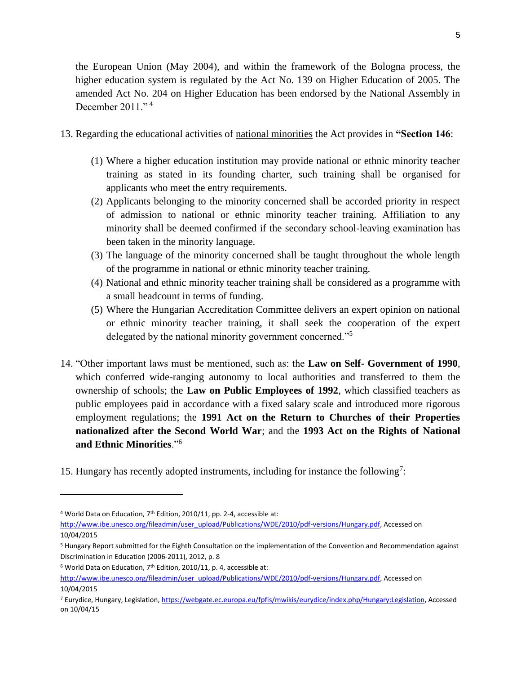the European Union (May 2004), and within the framework of the Bologna process, the higher education system is regulated by the Act No. 139 on Higher Education of 2005. The amended Act No. 204 on Higher Education has been endorsed by the National Assembly in December  $2011.^{64}$ 

- 13. Regarding the educational activities of national minorities the Act provides in **"Section 146**:
	- (1) Where a higher education institution may provide national or ethnic minority teacher training as stated in its founding charter, such training shall be organised for applicants who meet the entry requirements.
	- (2) Applicants belonging to the minority concerned shall be accorded priority in respect of admission to national or ethnic minority teacher training. Affiliation to any minority shall be deemed confirmed if the secondary school-leaving examination has been taken in the minority language.
	- (3) The language of the minority concerned shall be taught throughout the whole length of the programme in national or ethnic minority teacher training.
	- (4) National and ethnic minority teacher training shall be considered as a programme with a small headcount in terms of funding.
	- (5) Where the Hungarian Accreditation Committee delivers an expert opinion on national or ethnic minority teacher training, it shall seek the cooperation of the expert delegated by the national minority government concerned."<sup>5</sup>
- 14. "Other important laws must be mentioned, such as: the **Law on Self- Government of 1990**, which conferred wide-ranging autonomy to local authorities and transferred to them the ownership of schools; the **Law on Public Employees of 1992**, which classified teachers as public employees paid in accordance with a fixed salary scale and introduced more rigorous employment regulations; the **1991 Act on the Return to Churches of their Properties nationalized after the Second World War**; and the **1993 Act on the Rights of National and Ethnic Minorities**."<sup>6</sup>
- 15. Hungary has recently adopted instruments, including for instance the following<sup>7</sup>:

<sup>&</sup>lt;sup>4</sup> World Data on Education, 7<sup>th</sup> Edition, 2010/11, pp. 2-4, accessible at:

[http://www.ibe.unesco.org/fileadmin/user\\_upload/Publications/WDE/2010/pdf-versions/Hungary.pdf,](http://www.ibe.unesco.org/fileadmin/user_upload/Publications/WDE/2010/pdf-versions/Hungary.pdf) Accessed on 10/04/2015

<sup>5</sup> Hungary Report submitted for the Eighth Consultation on the implementation of the Convention and Recommendation against Discrimination in Education (2006-2011), 2012, p. 8

 $6$  World Data on Education,  $7<sup>th</sup>$  Edition, 2010/11, p. 4, accessible at:

[http://www.ibe.unesco.org/fileadmin/user\\_upload/Publications/WDE/2010/pdf-versions/Hungary.pdf,](http://www.ibe.unesco.org/fileadmin/user_upload/Publications/WDE/2010/pdf-versions/Hungary.pdf) Accessed on 10/04/2015

<sup>7</sup> Eurydice, Hungary, Legislation, [https://webgate.ec.europa.eu/fpfis/mwikis/eurydice/index.php/Hungary:Legislation,](https://webgate.ec.europa.eu/fpfis/mwikis/eurydice/index.php/Hungary:Legislation) Accessed on 10/04/15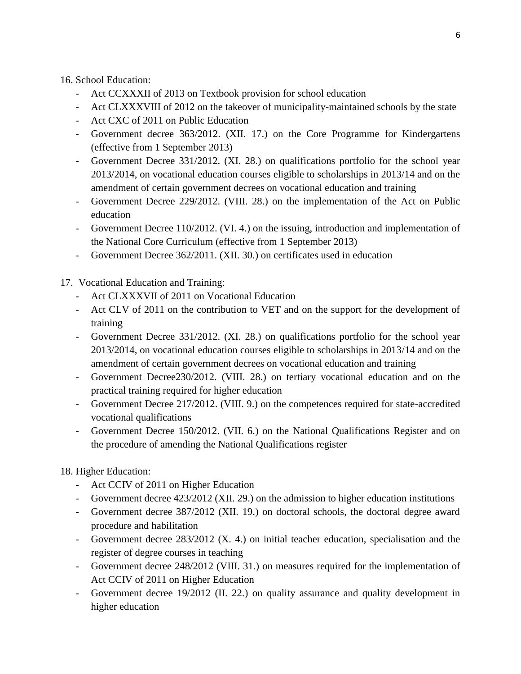16. School Education:

- Act CCXXXII of 2013 on Textbook provision for school education
- Act CLXXXVIII of 2012 on the takeover of municipality-maintained schools by the state
- Act CXC of 2011 on Public Education
- Government decree 363/2012. (XII. 17.) on the Core Programme for Kindergartens (effective from 1 September 2013)
- Government Decree 331/2012. (XI. 28.) on qualifications portfolio for the school year 2013/2014, on vocational education courses eligible to scholarships in 2013/14 and on the amendment of certain government decrees on vocational education and training
- Government Decree 229/2012. (VIII. 28.) on the implementation of the Act on Public education
- Government Decree 110/2012. (VI. 4.) on the issuing, introduction and implementation of the National Core Curriculum (effective from 1 September 2013)
- Government Decree 362/2011. (XII. 30.) on certificates used in education

17. Vocational Education and Training:

- Act CLXXXVII of 2011 on Vocational Education
- Act CLV of 2011 on the contribution to VET and on the support for the development of training
- Government Decree 331/2012. (XI. 28.) on qualifications portfolio for the school year 2013/2014, on vocational education courses eligible to scholarships in 2013/14 and on the amendment of certain government decrees on vocational education and training
- Government Decree230/2012. (VIII. 28.) on tertiary vocational education and on the practical training required for higher education
- Government Decree 217/2012. (VIII. 9.) on the competences required for state-accredited vocational qualifications
- Government Decree 150/2012. (VII. 6.) on the National Qualifications Register and on the procedure of amending the National Qualifications register

18. Higher Education:

- Act CCIV of 2011 on Higher Education
- Government decree 423/2012 (XII. 29.) on the admission to higher education institutions
- Government decree 387/2012 (XII. 19.) on doctoral schools, the doctoral degree award procedure and habilitation
- Government decree 283/2012 (X. 4.) on initial teacher education, specialisation and the register of degree courses in teaching
- Government decree 248/2012 (VIII. 31.) on measures required for the implementation of Act CCIV of 2011 on Higher Education
- Government decree 19/2012 (II. 22.) on quality assurance and quality development in higher education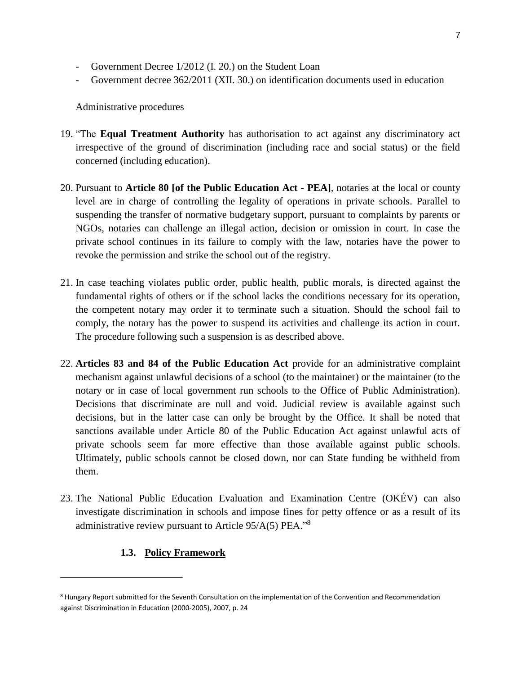- Government Decree  $1/2012$  (I. 20.) on the Student Loan
- Government decree 362/2011 (XII. 30.) on identification documents used in education

Administrative procedures

- 19. "The **Equal Treatment Authority** has authorisation to act against any discriminatory act irrespective of the ground of discrimination (including race and social status) or the field concerned (including education).
- 20. Pursuant to **Article 80 [of the Public Education Act - PEA]**, notaries at the local or county level are in charge of controlling the legality of operations in private schools. Parallel to suspending the transfer of normative budgetary support, pursuant to complaints by parents or NGOs, notaries can challenge an illegal action, decision or omission in court. In case the private school continues in its failure to comply with the law, notaries have the power to revoke the permission and strike the school out of the registry.
- 21. In case teaching violates public order, public health, public morals, is directed against the fundamental rights of others or if the school lacks the conditions necessary for its operation, the competent notary may order it to terminate such a situation. Should the school fail to comply, the notary has the power to suspend its activities and challenge its action in court. The procedure following such a suspension is as described above.
- 22. **Articles 83 and 84 of the Public Education Act** provide for an administrative complaint mechanism against unlawful decisions of a school (to the maintainer) or the maintainer (to the notary or in case of local government run schools to the Office of Public Administration). Decisions that discriminate are null and void. Judicial review is available against such decisions, but in the latter case can only be brought by the Office. It shall be noted that sanctions available under Article 80 of the Public Education Act against unlawful acts of private schools seem far more effective than those available against public schools. Ultimately, public schools cannot be closed down, nor can State funding be withheld from them.
- 23. The National Public Education Evaluation and Examination Centre (OKÉV) can also investigate discrimination in schools and impose fines for petty offence or as a result of its administrative review pursuant to Article 95/A(5) PEA."<sup>8</sup>

#### **1.3. Policy Framework**

<sup>8</sup> Hungary Report submitted for the Seventh Consultation on the implementation of the Convention and Recommendation against Discrimination in Education (2000-2005), 2007, p. 24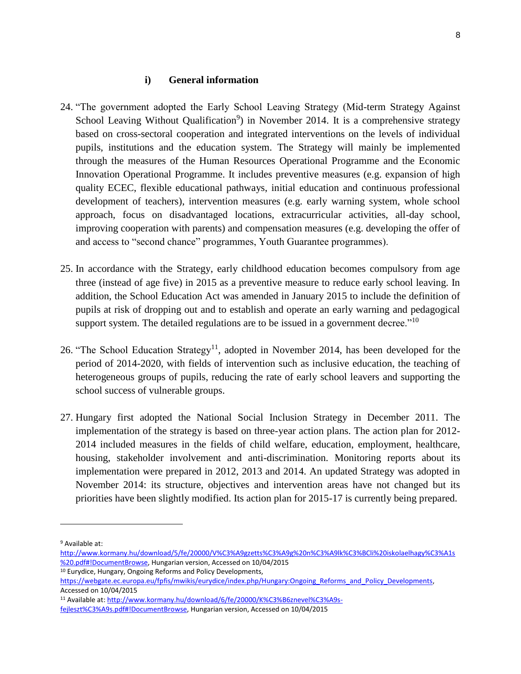#### **i) General information**

- 24. "The government adopted the Early School Leaving Strategy (Mid-term Strategy Against School Leaving Without Qualification<sup>9</sup>) in November 2014. It is a comprehensive strategy based on cross-sectoral cooperation and integrated interventions on the levels of individual pupils, institutions and the education system. The Strategy will mainly be implemented through the measures of the Human Resources Operational Programme and the Economic Innovation Operational Programme. It includes preventive measures (e.g. expansion of high quality ECEC, flexible educational pathways, initial education and continuous professional development of teachers), intervention measures (e.g. early warning system, whole school approach, focus on disadvantaged locations, extracurricular activities, all-day school, improving cooperation with parents) and compensation measures (e.g. developing the offer of and access to "second chance" programmes, Youth Guarantee programmes).
- 25. In accordance with the Strategy, early childhood education becomes compulsory from age three (instead of age five) in 2015 as a preventive measure to reduce early school leaving. In addition, the School Education Act was amended in January 2015 to include the definition of pupils at risk of dropping out and to establish and operate an early warning and pedagogical support system. The detailed regulations are to be issued in a government decree."<sup>10</sup>
- 26. "The School Education Strategy<sup>11</sup>, adopted in November 2014, has been developed for the period of 2014-2020, with fields of intervention such as inclusive education, the teaching of heterogeneous groups of pupils, reducing the rate of early school leavers and supporting the school success of vulnerable groups.
- 27. Hungary first adopted the National Social Inclusion Strategy in December 2011. The implementation of the strategy is based on three-year action plans. The action plan for 2012- 2014 included measures in the fields of child welfare, education, employment, healthcare, housing, stakeholder involvement and anti-discrimination. Monitoring reports about its implementation were prepared in 2012, 2013 and 2014. An updated Strategy was adopted in November 2014: its structure, objectives and intervention areas have not changed but its priorities have been slightly modified. Its action plan for 2015-17 is currently being prepared.

l

[http://www.kormany.hu/download/5/fe/20000/V%C3%A9gzetts%C3%A9g%20n%C3%A9lk%C3%BCli%20iskolaelhagy%C3%A1s](http://www.kormany.hu/download/5/fe/20000/V%C3%A9gzetts%C3%A9g%20n%C3%A9lk%C3%BCli%20iskolaelhagy%C3%A1s%20.pdf#!DocumentBrowse) [%20.pdf#!DocumentBrowse,](http://www.kormany.hu/download/5/fe/20000/V%C3%A9gzetts%C3%A9g%20n%C3%A9lk%C3%BCli%20iskolaelhagy%C3%A1s%20.pdf#!DocumentBrowse) Hungarian version, Accessed on 10/04/2015

<sup>10</sup> Eurydice, Hungary, Ongoing Reforms and Policy Developments,

<sup>11</sup> Available at: [http://www.kormany.hu/download/6/fe/20000/K%C3%B6znevel%C3%A9s-](http://www.kormany.hu/download/6/fe/20000/K%C3%B6znevel%C3%A9s-fejleszt%C3%A9s.pdf#!DocumentBrowse)

[fejleszt%C3%A9s.pdf#!DocumentBrowse,](http://www.kormany.hu/download/6/fe/20000/K%C3%B6znevel%C3%A9s-fejleszt%C3%A9s.pdf#!DocumentBrowse) Hungarian version, Accessed on 10/04/2015

<sup>9</sup> Available at:

https://webgate.ec.europa.eu/fpfis/mwikis/eurydice/index.php/Hungary:Ongoing\_Reforms\_and\_Policy\_Developments, Accessed on 10/04/2015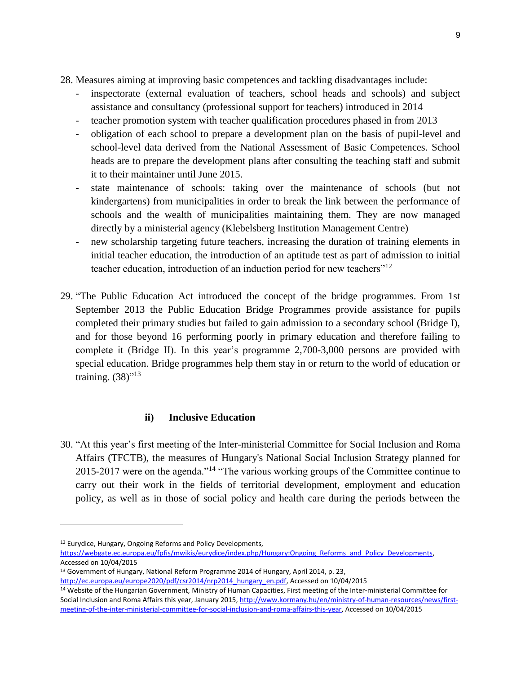- 28. Measures aiming at improving basic competences and tackling disadvantages include:
	- inspectorate (external evaluation of teachers, school heads and schools) and subject assistance and consultancy (professional support for teachers) introduced in 2014
	- teacher promotion system with teacher qualification procedures phased in from 2013
	- obligation of each school to prepare a development plan on the basis of pupil-level and school-level data derived from the National Assessment of Basic Competences. School heads are to prepare the development plans after consulting the teaching staff and submit it to their maintainer until June 2015.
	- state maintenance of schools: taking over the maintenance of schools (but not kindergartens) from municipalities in order to break the link between the performance of schools and the wealth of municipalities maintaining them. They are now managed directly by a ministerial agency (Klebelsberg Institution Management Centre)
	- new scholarship targeting future teachers, increasing the duration of training elements in initial teacher education, the introduction of an aptitude test as part of admission to initial teacher education, introduction of an induction period for new teachers"<sup>12</sup>
- 29. "The Public Education Act introduced the concept of the bridge programmes. From 1st September 2013 the Public Education Bridge Programmes provide assistance for pupils completed their primary studies but failed to gain admission to a secondary school (Bridge I), and for those beyond 16 performing poorly in primary education and therefore failing to complete it (Bridge II). In this year's programme 2,700-3,000 persons are provided with special education. Bridge programmes help them stay in or return to the world of education or training.  $(38)^{13}$

## **ii) Inclusive Education**

30. "At this year's first meeting of the Inter-ministerial Committee for Social Inclusion and Roma Affairs (TFCTB), the measures of Hungary's National Social Inclusion Strategy planned for 2015-2017 were on the agenda."<sup>14</sup> "The various working groups of the Committee continue to carry out their work in the fields of territorial development, employment and education policy, as well as in those of social policy and health care during the periods between the

<sup>12</sup> Eurydice, Hungary, Ongoing Reforms and Policy Developments,

l

[https://webgate.ec.europa.eu/fpfis/mwikis/eurydice/index.php/Hungary:Ongoing\\_Reforms\\_and\\_Policy\\_Developments,](https://webgate.ec.europa.eu/fpfis/mwikis/eurydice/index.php/Hungary:Ongoing_Reforms_and_Policy_Developments)  Accessed on 10/04/2015

<sup>13</sup> Government of Hungary, National Reform Programme 2014 of Hungary, April 2014, p. 23, [http://ec.europa.eu/europe2020/pdf/csr2014/nrp2014\\_hungary\\_en.pdf,](http://ec.europa.eu/europe2020/pdf/csr2014/nrp2014_hungary_en.pdf) Accessed on 10/04/2015

<sup>&</sup>lt;sup>14</sup> Website of the Hungarian Government, Ministry of Human Capacities, First meeting of the Inter-ministerial Committee for Social Inclusion and Roma Affairs this year, January 2015, [http://www.kormany.hu/en/ministry-of-human-resources/news/first](http://www.kormany.hu/en/ministry-of-human-resources/news/first-meeting-of-the-inter-ministerial-committee-for-social-inclusion-and-roma-affairs-this-year)[meeting-of-the-inter-ministerial-committee-for-social-inclusion-and-roma-affairs-this-year,](http://www.kormany.hu/en/ministry-of-human-resources/news/first-meeting-of-the-inter-ministerial-committee-for-social-inclusion-and-roma-affairs-this-year) Accessed on 10/04/2015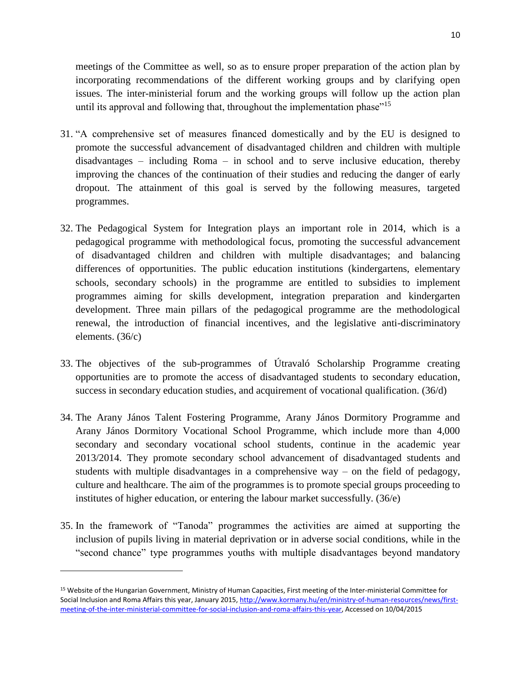meetings of the Committee as well, so as to ensure proper preparation of the action plan by incorporating recommendations of the different working groups and by clarifying open issues. The inter-ministerial forum and the working groups will follow up the action plan until its approval and following that, throughout the implementation phase"<sup>15</sup>

- 31. "A comprehensive set of measures financed domestically and by the EU is designed to promote the successful advancement of disadvantaged children and children with multiple disadvantages – including Roma – in school and to serve inclusive education, thereby improving the chances of the continuation of their studies and reducing the danger of early dropout. The attainment of this goal is served by the following measures, targeted programmes.
- 32. The Pedagogical System for Integration plays an important role in 2014, which is a pedagogical programme with methodological focus, promoting the successful advancement of disadvantaged children and children with multiple disadvantages; and balancing differences of opportunities. The public education institutions (kindergartens, elementary schools, secondary schools) in the programme are entitled to subsidies to implement programmes aiming for skills development, integration preparation and kindergarten development. Three main pillars of the pedagogical programme are the methodological renewal, the introduction of financial incentives, and the legislative anti-discriminatory elements. (36/c)
- 33. The objectives of the sub-programmes of Útravaló Scholarship Programme creating opportunities are to promote the access of disadvantaged students to secondary education, success in secondary education studies, and acquirement of vocational qualification. (36/d)
- 34. The Arany János Talent Fostering Programme, Arany János Dormitory Programme and Arany János Dormitory Vocational School Programme, which include more than 4,000 secondary and secondary vocational school students, continue in the academic year 2013/2014. They promote secondary school advancement of disadvantaged students and students with multiple disadvantages in a comprehensive way – on the field of pedagogy, culture and healthcare. The aim of the programmes is to promote special groups proceeding to institutes of higher education, or entering the labour market successfully. (36/e)
- 35. In the framework of "Tanoda" programmes the activities are aimed at supporting the inclusion of pupils living in material deprivation or in adverse social conditions, while in the "second chance" type programmes youths with multiple disadvantages beyond mandatory

 $\overline{\phantom{a}}$ 

<sup>15</sup> Website of the Hungarian Government, Ministry of Human Capacities, First meeting of the Inter-ministerial Committee for Social Inclusion and Roma Affairs this year, January 2015, [http://www.kormany.hu/en/ministry-of-human-resources/news/first](http://www.kormany.hu/en/ministry-of-human-resources/news/first-meeting-of-the-inter-ministerial-committee-for-social-inclusion-and-roma-affairs-this-year)[meeting-of-the-inter-ministerial-committee-for-social-inclusion-and-roma-affairs-this-year,](http://www.kormany.hu/en/ministry-of-human-resources/news/first-meeting-of-the-inter-ministerial-committee-for-social-inclusion-and-roma-affairs-this-year) Accessed on 10/04/2015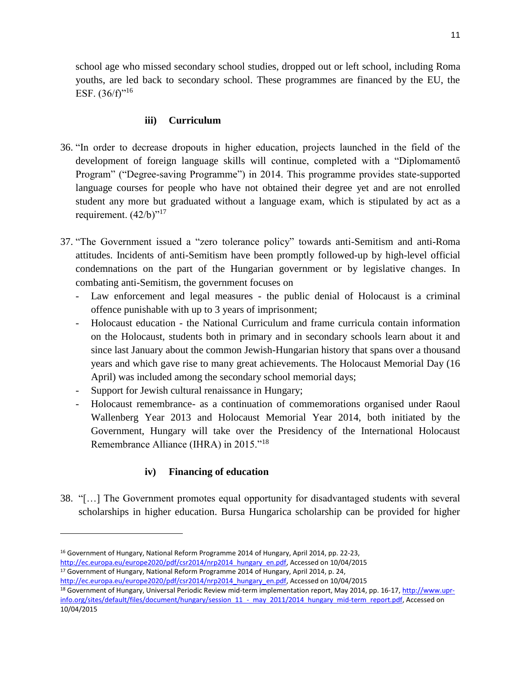school age who missed secondary school studies, dropped out or left school, including Roma youths, are led back to secondary school. These programmes are financed by the EU, the ESF.  $(36/f)^{16}$ 

### **iii) Curriculum**

- 36. "In order to decrease dropouts in higher education, projects launched in the field of the development of foreign language skills will continue, completed with a "Diplomamentő Program" ("Degree-saving Programme") in 2014. This programme provides state-supported language courses for people who have not obtained their degree yet and are not enrolled student any more but graduated without a language exam, which is stipulated by act as a requirement.  $(42/b)^{17}$
- 37. "The Government issued a "zero tolerance policy" towards anti-Semitism and anti-Roma attitudes. Incidents of anti-Semitism have been promptly followed-up by high-level official condemnations on the part of the Hungarian government or by legislative changes. In combating anti-Semitism, the government focuses on
	- Law enforcement and legal measures the public denial of Holocaust is a criminal offence punishable with up to 3 years of imprisonment;
	- Holocaust education the National Curriculum and frame curricula contain information on the Holocaust, students both in primary and in secondary schools learn about it and since last January about the common Jewish-Hungarian history that spans over a thousand years and which gave rise to many great achievements. The Holocaust Memorial Day (16 April) was included among the secondary school memorial days;
	- Support for Jewish cultural renaissance in Hungary;
	- Holocaust remembrance- as a continuation of commemorations organised under Raoul Wallenberg Year 2013 and Holocaust Memorial Year 2014, both initiated by the Government, Hungary will take over the Presidency of the International Holocaust Remembrance Alliance (IHRA) in 2015."<sup>18</sup>

### **iv) Financing of education**

38. "[…] The Government promotes equal opportunity for disadvantaged students with several scholarships in higher education. Bursa Hungarica scholarship can be provided for higher

l

<sup>17</sup> Government of Hungary, National Reform Programme 2014 of Hungary, April 2014, p. 24,

<sup>16</sup> Government of Hungary, National Reform Programme 2014 of Hungary, April 2014, pp. 22-23,

[http://ec.europa.eu/europe2020/pdf/csr2014/nrp2014\\_hungary\\_en.pdf,](http://ec.europa.eu/europe2020/pdf/csr2014/nrp2014_hungary_en.pdf) Accessed on 10/04/2015

[http://ec.europa.eu/europe2020/pdf/csr2014/nrp2014\\_hungary\\_en.pdf,](http://ec.europa.eu/europe2020/pdf/csr2014/nrp2014_hungary_en.pdf) Accessed on 10/04/2015

<sup>&</sup>lt;sup>18</sup> Government of Hungary, Universal Periodic Review mid-term implementation report, May 2014, pp. 16-17, [http://www.upr](http://www.upr-info.org/sites/default/files/document/hungary/session_11_-_may_2011/2014_hungary_mid-term_report.pdf)[info.org/sites/default/files/document/hungary/session\\_11\\_-\\_may\\_2011/2014\\_hungary\\_mid-term\\_report.pdf,](http://www.upr-info.org/sites/default/files/document/hungary/session_11_-_may_2011/2014_hungary_mid-term_report.pdf) Accessed on 10/04/2015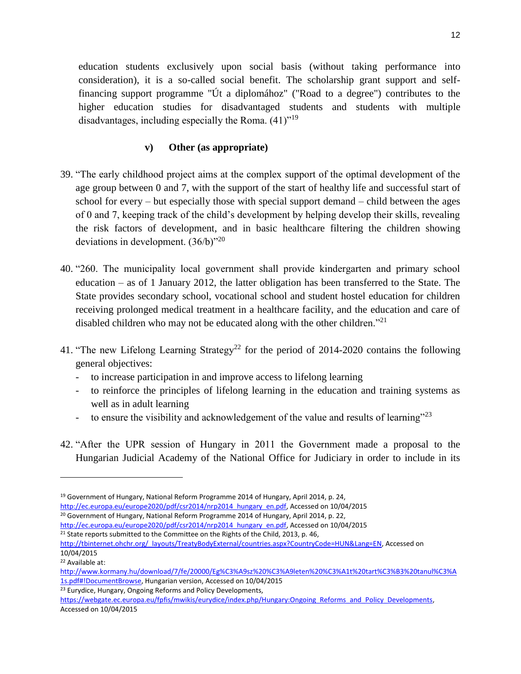education students exclusively upon social basis (without taking performance into consideration), it is a so-called social benefit. The scholarship grant support and selffinancing support programme "Út a diplomához" ("Road to a degree") contributes to the higher education studies for disadvantaged students and students with multiple disadvantages, including especially the Roma.  $(41)^{19}$ 

## **v) Other (as appropriate)**

- 39. "The early childhood project aims at the complex support of the optimal development of the age group between 0 and 7, with the support of the start of healthy life and successful start of school for every – but especially those with special support demand – child between the ages of 0 and 7, keeping track of the child's development by helping develop their skills, revealing the risk factors of development, and in basic healthcare filtering the children showing deviations in development.  $(36/b)^{320}$
- 40. "260. The municipality local government shall provide kindergarten and primary school education – as of 1 January 2012, the latter obligation has been transferred to the State. The State provides secondary school, vocational school and student hostel education for children receiving prolonged medical treatment in a healthcare facility, and the education and care of disabled children who may not be educated along with the other children."<sup>21</sup>
- 41. "The new Lifelong Learning Strategy<sup>22</sup> for the period of 2014-2020 contains the following general objectives:
	- to increase participation in and improve access to lifelong learning
	- to reinforce the principles of lifelong learning in the education and training systems as well as in adult learning
	- to ensure the visibility and acknowledgement of the value and results of learning"<sup>23</sup>
- 42. "After the UPR session of Hungary in 2011 the Government made a proposal to the Hungarian Judicial Academy of the National Office for Judiciary in order to include in its

 $\overline{\phantom{a}}$ 

<sup>23</sup> Eurydice, Hungary, Ongoing Reforms and Policy Developments,

<sup>19</sup> Government of Hungary, National Reform Programme 2014 of Hungary, April 2014, p. 24,

[http://ec.europa.eu/europe2020/pdf/csr2014/nrp2014\\_hungary\\_en.pdf,](http://ec.europa.eu/europe2020/pdf/csr2014/nrp2014_hungary_en.pdf) Accessed on 10/04/2015

<sup>&</sup>lt;sup>20</sup> Government of Hungary, National Reform Programme 2014 of Hungary, April 2014, p. 22,

[http://ec.europa.eu/europe2020/pdf/csr2014/nrp2014\\_hungary\\_en.pdf,](http://ec.europa.eu/europe2020/pdf/csr2014/nrp2014_hungary_en.pdf) Accessed on 10/04/2015

<sup>&</sup>lt;sup>21</sup> State reports submitted to the Committee on the Rights of the Child, 2013, p. 46,

[http://tbinternet.ohchr.org/\\_layouts/TreatyBodyExternal/countries.aspx?CountryCode=HUN&Lang=EN,](http://tbinternet.ohchr.org/_layouts/TreatyBodyExternal/countries.aspx?CountryCode=HUN&Lang=EN) Accessed on 10/04/2015

<sup>22</sup> Available at:

[http://www.kormany.hu/download/7/fe/20000/Eg%C3%A9sz%20%C3%A9leten%20%C3%A1t%20tart%C3%B3%20tanul%C3%A](http://www.kormany.hu/download/7/fe/20000/Eg%C3%A9sz%20%C3%A9leten%20%C3%A1t%20tart%C3%B3%20tanul%C3%A1s.pdf#!DocumentBrowse) [1s.pdf#!DocumentBrowse,](http://www.kormany.hu/download/7/fe/20000/Eg%C3%A9sz%20%C3%A9leten%20%C3%A1t%20tart%C3%B3%20tanul%C3%A1s.pdf#!DocumentBrowse) Hungarian version, Accessed on 10/04/2015

[https://webgate.ec.europa.eu/fpfis/mwikis/eurydice/index.php/Hungary:Ongoing\\_Reforms\\_and\\_Policy\\_Developments,](https://webgate.ec.europa.eu/fpfis/mwikis/eurydice/index.php/Hungary:Ongoing_Reforms_and_Policy_Developments)  Accessed on 10/04/2015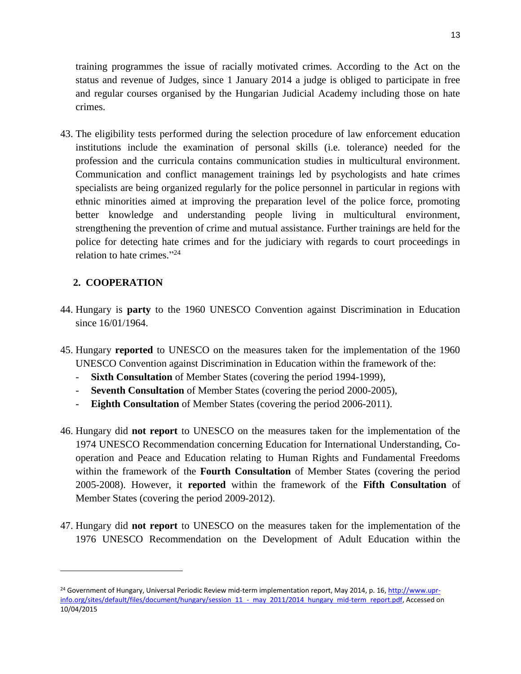training programmes the issue of racially motivated crimes. According to the Act on the status and revenue of Judges, since 1 January 2014 a judge is obliged to participate in free and regular courses organised by the Hungarian Judicial Academy including those on hate crimes.

43. The eligibility tests performed during the selection procedure of law enforcement education institutions include the examination of personal skills (i.e. tolerance) needed for the profession and the curricula contains communication studies in multicultural environment. Communication and conflict management trainings led by psychologists and hate crimes specialists are being organized regularly for the police personnel in particular in regions with ethnic minorities aimed at improving the preparation level of the police force, promoting better knowledge and understanding people living in multicultural environment, strengthening the prevention of crime and mutual assistance. Further trainings are held for the police for detecting hate crimes and for the judiciary with regards to court proceedings in relation to hate crimes." 24

## **2. COOPERATION**

 $\overline{\phantom{a}}$ 

- 44. Hungary is **party** to the 1960 UNESCO Convention against Discrimination in Education since  $16/01/1964$ .
- 45. Hungary **reported** to UNESCO on the measures taken for the implementation of the 1960 UNESCO Convention against Discrimination in Education within the framework of the:
	- **Sixth Consultation** of Member States (covering the period 1994-1999),
	- **Seventh Consultation** of Member States (covering the period 2000-2005),
	- **Eighth Consultation** of Member States (covering the period 2006-2011).
- 46. Hungary did **not report** to UNESCO on the measures taken for the implementation of the 1974 UNESCO Recommendation concerning Education for International Understanding, Cooperation and Peace and Education relating to Human Rights and Fundamental Freedoms within the framework of the **Fourth Consultation** of Member States (covering the period 2005-2008). However, it **reported** within the framework of the **Fifth Consultation** of Member States (covering the period 2009-2012).
- 47. Hungary did **not report** to UNESCO on the measures taken for the implementation of the 1976 UNESCO Recommendation on the Development of Adult Education within the

<sup>&</sup>lt;sup>24</sup> Government of Hungary, Universal Periodic Review mid-term implementation report, May 2014, p. 16[, http://www.upr](http://www.upr-info.org/sites/default/files/document/hungary/session_11_-_may_2011/2014_hungary_mid-term_report.pdf)[info.org/sites/default/files/document/hungary/session\\_11\\_-\\_may\\_2011/2014\\_hungary\\_mid-term\\_report.pdf,](http://www.upr-info.org/sites/default/files/document/hungary/session_11_-_may_2011/2014_hungary_mid-term_report.pdf) Accessed on 10/04/2015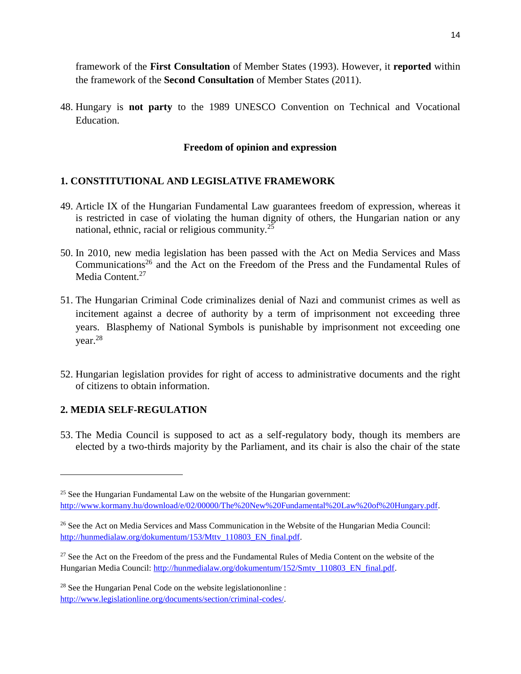framework of the **First Consultation** of Member States (1993). However, it **reported** within the framework of the **Second Consultation** of Member States (2011).

48. Hungary is **not party** to the 1989 UNESCO Convention on Technical and Vocational Education.

### **Freedom of opinion and expression**

### **1. CONSTITUTIONAL AND LEGISLATIVE FRAMEWORK**

- 49. Article IX of the Hungarian Fundamental Law guarantees freedom of expression, whereas it is restricted in case of violating the human dignity of others, the Hungarian nation or any national, ethnic, racial or religious community.<sup>25</sup>
- 50. In 2010, new media legislation has been passed with the Act on Media Services and Mass Communications<sup>26</sup> and the Act on the Freedom of the Press and the Fundamental Rules of Media Content.<sup>27</sup>
- 51. The Hungarian Criminal Code criminalizes denial of Nazi and communist crimes as well as incitement against a decree of authority by a term of imprisonment not exceeding three years. Blasphemy of National Symbols is punishable by imprisonment not exceeding one year.<sup>28</sup>
- 52. Hungarian legislation provides for right of access to administrative documents and the right of citizens to obtain information.

### **2. MEDIA SELF-REGULATION**

 $\overline{\phantom{a}}$ 

53. The Media Council is supposed to act as a self-regulatory body, though its members are elected by a two-thirds majority by the Parliament, and its chair is also the chair of the state

 $25$  See the Hungarian Fundamental Law on the website of the Hungarian government: [http://www.kormany.hu/download/e/02/00000/The%20New%20Fundamental%20Law%20of%20Hungary.pdf.](http://www.kormany.hu/download/e/02/00000/The%20New%20Fundamental%20Law%20of%20Hungary.pdf)

<sup>&</sup>lt;sup>26</sup> See the Act on Media Services and Mass Communication in the Website of the Hungarian Media Council: [http://hunmedialaw.org/dokumentum/153/Mttv\\_110803\\_EN\\_final.pdf.](http://hunmedialaw.org/dokumentum/153/Mttv_110803_EN_final.pdf)

<sup>&</sup>lt;sup>27</sup> See the Act on the Freedom of the press and the Fundamental Rules of Media Content on the website of the Hungarian Media Council: [http://hunmedialaw.org/dokumentum/152/Smtv\\_110803\\_EN\\_final.pdf.](http://hunmedialaw.org/dokumentum/152/Smtv_110803_EN_final.pdf)

<sup>28</sup> See the Hungarian Penal Code on the website legislationonline : [http://www.legislationline.org/documents/section/criminal-codes/.](http://www.legislationline.org/documents/section/criminal-codes/)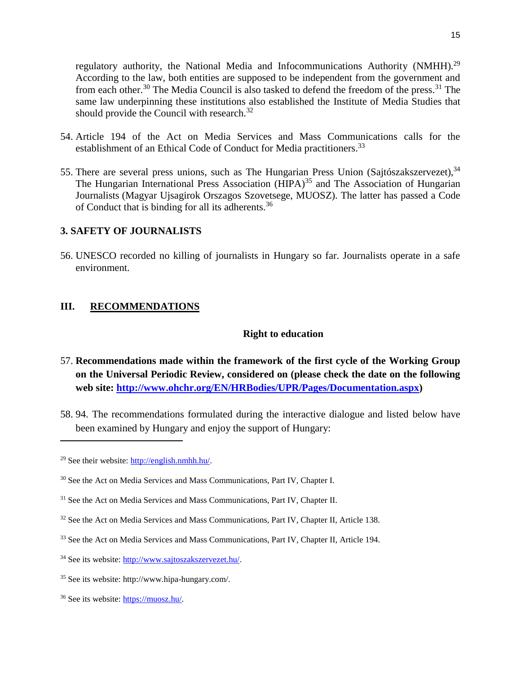regulatory authority, the National Media and Infocommunications Authority (NMHH).<sup>29</sup> According to the law, both entities are supposed to be independent from the government and from each other.<sup>30</sup> The Media Council is also tasked to defend the freedom of the press.<sup>31</sup> The same law underpinning these institutions also established the Institute of Media Studies that should provide the Council with research.<sup>32</sup>

- 54. Article 194 of the Act on Media Services and Mass Communications calls for the establishment of an Ethical Code of Conduct for Media practitioners.<sup>33</sup>
- 55. There are several press unions, such as The Hungarian Press Union (Sajtószakszervezet),  $34$ The Hungarian International Press Association ( $HIPA$ )<sup>35</sup> and The Association of Hungarian Journalists (Magyar Ujsagirok Orszagos Szovetsege, MUOSZ). The latter has passed a Code of Conduct that is binding for all its adherents.<sup>36</sup>

#### **3. SAFETY OF JOURNALISTS**

56. UNESCO recorded no killing of journalists in Hungary so far. Journalists operate in a safe environment.

#### **III. RECOMMENDATIONS**

#### **Right to education**

- 57. **Recommendations made within the framework of the first cycle of the Working Group on the Universal Periodic Review, considered on (please check the date on the following web site: [http://www.ohchr.org/EN/HRBodies/UPR/Pages/Documentation.aspx\)](http://www.ohchr.org/EN/HRBodies/UPR/Pages/Documentation.aspx)**
- 58. 94. The recommendations formulated during the interactive dialogue and listed below have been examined by Hungary and enjoy the support of Hungary:

 $\overline{a}$ 

<sup>29</sup> See their website: [http://english.nmhh.hu/.](http://english.nmhh.hu/)

<sup>&</sup>lt;sup>30</sup> See the Act on Media Services and Mass Communications, Part IV, Chapter I.

<sup>&</sup>lt;sup>31</sup> See the Act on Media Services and Mass Communications, Part IV, Chapter II.

<sup>&</sup>lt;sup>32</sup> See the Act on Media Services and Mass Communications, Part IV, Chapter II, Article 138.

<sup>&</sup>lt;sup>33</sup> See the Act on Media Services and Mass Communications, Part IV, Chapter II, Article 194.

<sup>34</sup> See its website: [http://www.sajtoszakszervezet.hu/.](http://www.sajtoszakszervezet.hu/)

<sup>35</sup> See its website: http://www.hipa-hungary.com/.

<sup>36</sup> See its website: [https://muosz.hu/.](https://muosz.hu/)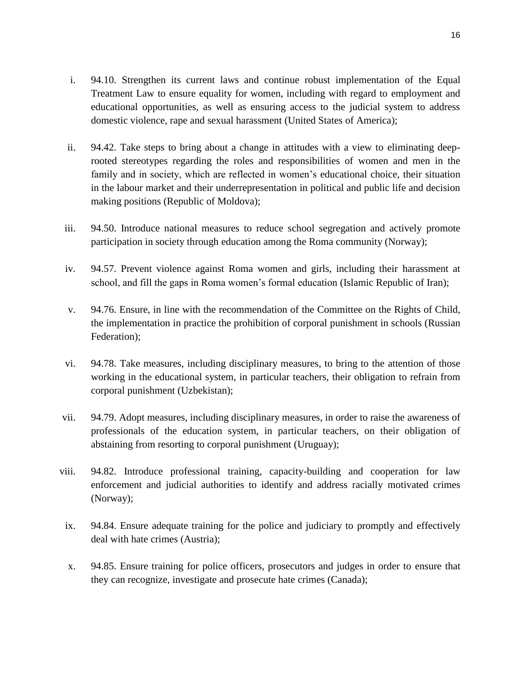- i. 94.10. Strengthen its current laws and continue robust implementation of the Equal Treatment Law to ensure equality for women, including with regard to employment and educational opportunities, as well as ensuring access to the judicial system to address domestic violence, rape and sexual harassment (United States of America);
- ii. 94.42. Take steps to bring about a change in attitudes with a view to eliminating deeprooted stereotypes regarding the roles and responsibilities of women and men in the family and in society, which are reflected in women's educational choice, their situation in the labour market and their underrepresentation in political and public life and decision making positions (Republic of Moldova);
- iii. 94.50. Introduce national measures to reduce school segregation and actively promote participation in society through education among the Roma community (Norway);
- iv. 94.57. Prevent violence against Roma women and girls, including their harassment at school, and fill the gaps in Roma women's formal education (Islamic Republic of Iran);
- v. 94.76. Ensure, in line with the recommendation of the Committee on the Rights of Child, the implementation in practice the prohibition of corporal punishment in schools (Russian Federation);
- vi. 94.78. Take measures, including disciplinary measures, to bring to the attention of those working in the educational system, in particular teachers, their obligation to refrain from corporal punishment (Uzbekistan);
- vii. 94.79. Adopt measures, including disciplinary measures, in order to raise the awareness of professionals of the education system, in particular teachers, on their obligation of abstaining from resorting to corporal punishment (Uruguay);
- viii. 94.82. Introduce professional training, capacity-building and cooperation for law enforcement and judicial authorities to identify and address racially motivated crimes (Norway);
- ix. 94.84. Ensure adequate training for the police and judiciary to promptly and effectively deal with hate crimes (Austria);
- x. 94.85. Ensure training for police officers, prosecutors and judges in order to ensure that they can recognize, investigate and prosecute hate crimes (Canada);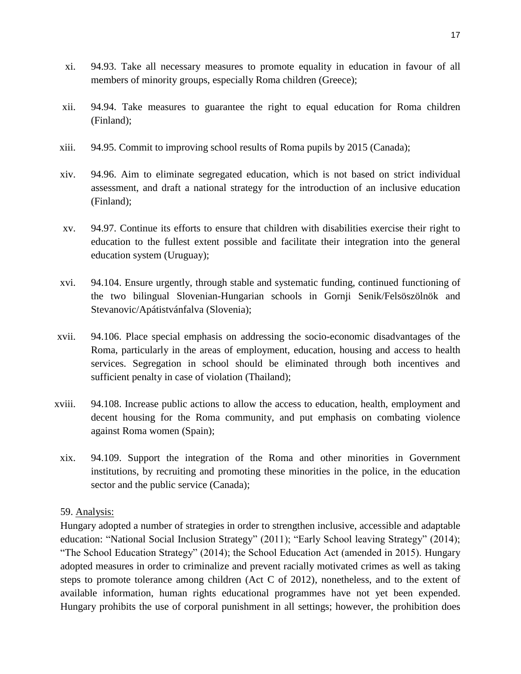- xi. 94.93. Take all necessary measures to promote equality in education in favour of all members of minority groups, especially Roma children (Greece);
- xii. 94.94. Take measures to guarantee the right to equal education for Roma children (Finland);
- xiii. 94.95. Commit to improving school results of Roma pupils by 2015 (Canada);
- xiv. 94.96. Aim to eliminate segregated education, which is not based on strict individual assessment, and draft a national strategy for the introduction of an inclusive education (Finland);
- xv. 94.97. Continue its efforts to ensure that children with disabilities exercise their right to education to the fullest extent possible and facilitate their integration into the general education system (Uruguay);
- xvi. 94.104. Ensure urgently, through stable and systematic funding, continued functioning of the two bilingual Slovenian-Hungarian schools in Gornji Senik/Felsöszölnök and Stevanovic/Apátistvánfalva (Slovenia);
- xvii. 94.106. Place special emphasis on addressing the socio-economic disadvantages of the Roma, particularly in the areas of employment, education, housing and access to health services. Segregation in school should be eliminated through both incentives and sufficient penalty in case of violation (Thailand);
- xviii. 94.108. Increase public actions to allow the access to education, health, employment and decent housing for the Roma community, and put emphasis on combating violence against Roma women (Spain);
	- xix. 94.109. Support the integration of the Roma and other minorities in Government institutions, by recruiting and promoting these minorities in the police, in the education sector and the public service (Canada);

### 59. Analysis:

Hungary adopted a number of strategies in order to strengthen inclusive, accessible and adaptable education: "National Social Inclusion Strategy" (2011); "Early School leaving Strategy" (2014); "The School Education Strategy" (2014); the School Education Act (amended in 2015). Hungary adopted measures in order to criminalize and prevent racially motivated crimes as well as taking steps to promote tolerance among children (Act C of 2012), nonetheless, and to the extent of available information, human rights educational programmes have not yet been expended. Hungary prohibits the use of corporal punishment in all settings; however, the prohibition does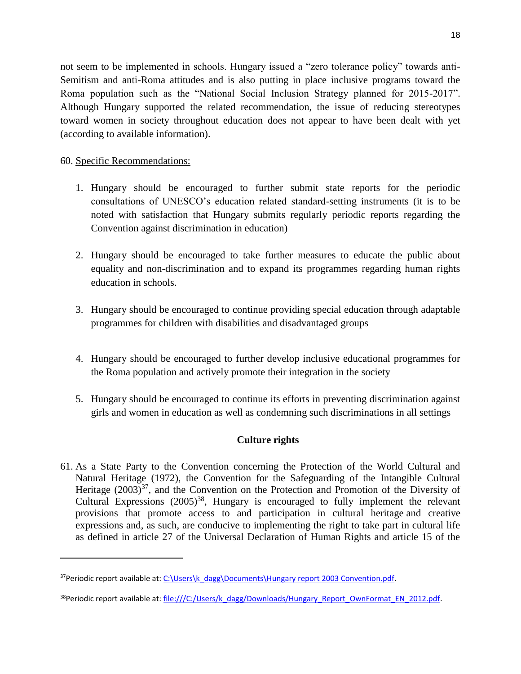not seem to be implemented in schools. Hungary issued a "zero tolerance policy" towards anti-Semitism and anti-Roma attitudes and is also putting in place inclusive programs toward the Roma population such as the "National Social Inclusion Strategy planned for 2015-2017". Although Hungary supported the related recommendation, the issue of reducing stereotypes toward women in society throughout education does not appear to have been dealt with yet (according to available information).

## 60. Specific Recommendations:

 $\overline{\phantom{a}}$ 

- 1. Hungary should be encouraged to further submit state reports for the periodic consultations of UNESCO's education related standard-setting instruments (it is to be noted with satisfaction that Hungary submits regularly periodic reports regarding the Convention against discrimination in education)
- 2. Hungary should be encouraged to take further measures to educate the public about equality and non-discrimination and to expand its programmes regarding human rights education in schools.
- 3. Hungary should be encouraged to continue providing special education through adaptable programmes for children with disabilities and disadvantaged groups
- 4. Hungary should be encouraged to further develop inclusive educational programmes for the Roma population and actively promote their integration in the society
- 5. Hungary should be encouraged to continue its efforts in preventing discrimination against girls and women in education as well as condemning such discriminations in all settings

### **Culture rights**

61. As a State Party to the Convention concerning the Protection of the World Cultural and Natural Heritage (1972), the Convention for the Safeguarding of the Intangible Cultural Heritage  $(2003)^{37}$ , and the Convention on the Protection and Promotion of the Diversity of Cultural Expressions  $(2005)^{38}$ , Hungary is encouraged to fully implement the relevant provisions that promote access to and participation in cultural heritage and creative expressions and, as such, are conducive to implementing the right to take part in cultural life as defined in article 27 of the Universal Declaration of Human Rights and article 15 of the

<sup>&</sup>lt;sup>37</sup>Periodic report available at: [C:\Users\k\\_dagg\Documents\Hungary report 2003 Convention.pdf.](file:///C:/Users/k_dagg/Documents/Hungary%20report%202003%20Convention.pdf)

<sup>&</sup>lt;sup>38</sup>Periodic report available at: [file:///C:/Users/k\\_dagg/Downloads/Hungary\\_Report\\_OwnFormat\\_EN\\_2012.pdf.](file:///C:/Users/k_dagg/Downloads/Hungary_Report_OwnFormat_EN_2012.pdf)